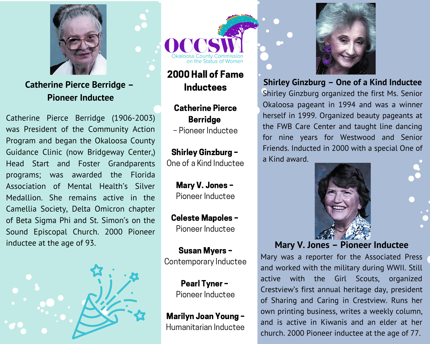

## **Catherine Pierce Berridge -Pioneer Inductee**

Catherine Pierce Berridge (1906-2003) was President of the Community Action Program and began the Okaloosa County Guidance Clinic (now Bridgeway Center.) Head Start and Foster Grandparents programs; was awarded the Florida Association of Mental Health's Silver Medallion. She remains active in the Camellia Society, Delta Omicron chapter of Beta Sigma Phi and St. Simon's on the Sound Episcopal Church. 2000 Pioneer inductee at the age of 93.





## 2000 Hall of Fame **Inductees**

## **Catherine Pierce Berridge**

- Pioneer Inductee

**Shirley Ginzburg -**One of a Kind Inductee

> Mary V. Jones -Pioneer Inductee

**Celeste Mapoles -**Pioneer Inductee

**Susan Myers -**Contemporary Inductee

> **Pearl Tyner -**Pioneer Inductee

Marilyn Joan Young -Humanitarian Inductee



Shirley Ginzburg - One of a Kind Inductee

Shirley Ginzburg organized the first Ms. Senior Okaloosa pageant in 1994 and was a winner herself in 1999. Organized beauty pageants at the FWB Care Center and taught line dancing for nine years for Westwood and Senior Friends. Inducted in 2000 with a special One of a Kind award.



Mary V. Jones - Pioneer Inductee

Mary was a reporter for the Associated Press and worked with the military during WWII. Still Girl Scouts, active with the organized Crestview's first annual heritage day, president of Sharing and Caring in Crestview. Runs her own printing business, writes a weekly column, and is active in Kiwanis and an elder at her church. 2000 Pioneer inductee at the age of 77.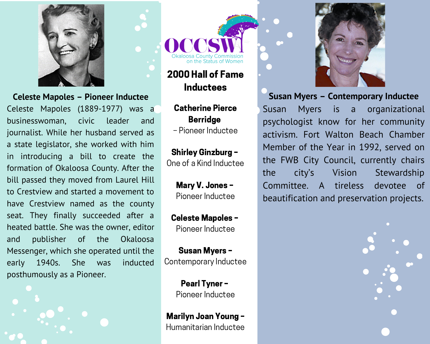

**Celeste Mapoles - Pioneer Inductee** 

Celeste Mapoles (1889-1977) was a businesswoman, civic leader and journalist. While her husband served as a state legislator, she worked with him in introducing a bill to create the formation of Okaloosa County. After the bill passed they moved from Laurel Hill to Crestyjew and started a movement to have Crestview named as the county seat. They finally succeeded after a heated battle. She was the owner, editor and publisher  $of$ the Okaloosa Messenger, which she operated until the 1940s. She inducted early was posthumously as a Pioneer.



2000 Hall of Fame **Inductees** 

**Catherine Pierce Berridge** - Pioneer Inductee

**Shirley Ginzburg -**One of a Kind Inductee

> Mary V. Jones -Pioneer Inductee

**Celeste Mapoles -**Pioneer Inductee

**Susan Myers -**Contemporary Inductee

> **Pearl Tyner -**Pioneer Inductee

Marilyn Joan Young -Humanitarian Inductee



**Susan Myers - Contemporary Inductee** is is Susan **Myers**  $\overline{a}$ organizational psychologist know for her community activism. Fort Walton Beach Chamber Member of the Year in 1992, served on the FWB City Council, currently chairs the city's Vision Stewardship Committee. A tireless devotee of beautification and preservation projects.